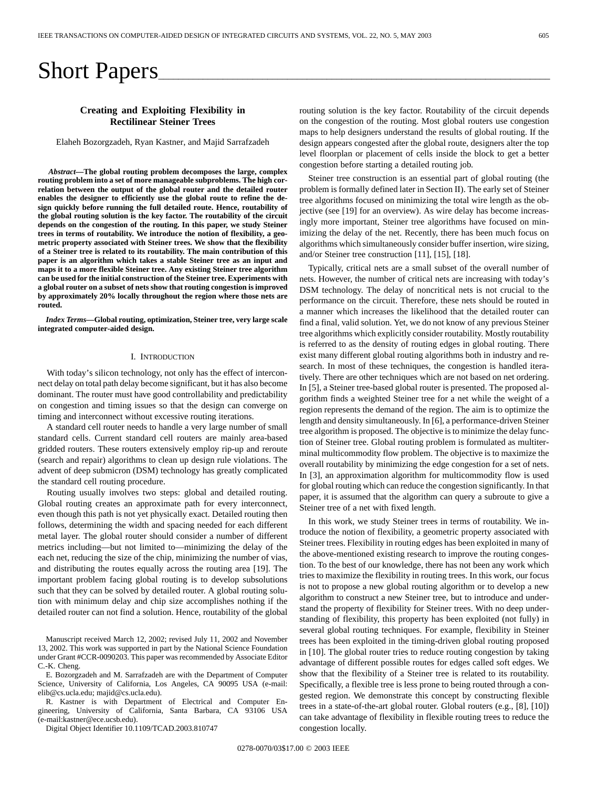# Short Papers

# **Creating and Exploiting Flexibility in Rectilinear Steiner Trees**

Elaheh Bozorgzadeh, Ryan Kastner, and Majid Sarrafzadeh

*Abstract—***The global routing problem decomposes the large, complex routing problem into a set of more manageable subproblems. The high correlation between the output of the global router and the detailed router enables the designer to efficiently use the global route to refine the design quickly before running the full detailed route. Hence, routability of the global routing solution is the key factor. The routability of the circuit depends on the congestion of the routing. In this paper, we study Steiner trees in terms of routability. We introduce the notion of flexibility, a geometric property associated with Steiner trees. We show that the flexibility of a Steiner tree is related to its routability. The main contribution of this paper is an algorithm which takes a stable Steiner tree as an input and maps it to a more flexible Steiner tree. Any existing Steiner tree algorithm can be used for the initial construction of the Steiner tree. Experiments with a global router on a subset of nets show that routing congestion is improved by approximately 20% locally throughout the region where those nets are routed.**

*Index Terms—***Global routing, optimization, Steiner tree, very large scale integrated computer-aided design.**

#### I. INTRODUCTION

With today's silicon technology, not only has the effect of interconnect delay on total path delay become significant, but it has also become dominant. The router must have good controllability and predictability on congestion and timing issues so that the design can converge on timing and interconnect without excessive routing iterations.

A standard cell router needs to handle a very large number of small standard cells. Current standard cell routers are mainly area-based gridded routers. These routers extensively employ rip-up and reroute (search and repair) algorithms to clean up design rule violations. The advent of deep submicron (DSM) technology has greatly complicated the standard cell routing procedure.

Routing usually involves two steps: global and detailed routing. Global routing creates an approximate path for every interconnect, even though this path is not yet physically exact. Detailed routing then follows, determining the width and spacing needed for each different metal layer. The global router should consider a number of different metrics including—but not limited to—minimizing the delay of the each net, reducing the size of the chip, minimizing the number of vias, and distributing the routes equally across the routing area [19]. The important problem facing global routing is to develop subsolutions such that they can be solved by detailed router. A global routing solution with minimum delay and chip size accomplishes nothing if the detailed router can not find a solution. Hence, routability of the global

Manuscript received March 12, 2002; revised July 11, 2002 and November 13, 2002. This work was supported in part by the National Science Foundation under Grant #CCR-0090203. This paper was recommended by Associate Editor C.-K. Cheng.

E. Bozorgzadeh and M. Sarrafzadeh are with the Department of Computer Science, University of California, Los Angeles, CA 90095 USA (e-mail: elib@cs.ucla.edu; majid@cs.ucla.edu).

R. Kastner is with Department of Electrical and Computer Engineering, University of California, Santa Barbara, CA 93106 USA (e-mail:kastner@ece.ucsb.edu).

Digital Object Identifier 10.1109/TCAD.2003.810747

routing solution is the key factor. Routability of the circuit depends on the congestion of the routing. Most global routers use congestion maps to help designers understand the results of global routing. If the design appears congested after the global route, designers alter the top level floorplan or placement of cells inside the block to get a better congestion before starting a detailed routing job.

Steiner tree construction is an essential part of global routing (the problem is formally defined later in Section II). The early set of Steiner tree algorithms focused on minimizing the total wire length as the objective (see [19] for an overview). As wire delay has become increasingly more important, Steiner tree algorithms have focused on minimizing the delay of the net. Recently, there has been much focus on algorithms which simultaneously consider buffer insertion, wire sizing, and/or Steiner tree construction [11], [15], [18].

Typically, critical nets are a small subset of the overall number of nets. However, the number of critical nets are increasing with today's DSM technology. The delay of noncritical nets is not crucial to the performance on the circuit. Therefore, these nets should be routed in a manner which increases the likelihood that the detailed router can find a final, valid solution. Yet, we do not know of any previous Steiner tree algorithms which explicitly consider routability. Mostly routability is referred to as the density of routing edges in global routing. There exist many different global routing algorithms both in industry and research. In most of these techniques, the congestion is handled iteratively. There are other techniques which are not based on net ordering. In [5], a Steiner tree-based global router is presented. The proposed algorithm finds a weighted Steiner tree for a net while the weight of a region represents the demand of the region. The aim is to optimize the length and density simultaneously. In [6], a performance-driven Steiner tree algorithm is proposed. The objective is to minimize the delay function of Steiner tree. Global routing problem is formulated as multiterminal multicommodity flow problem. The objective is to maximize the overall routability by minimizing the edge congestion for a set of nets. In [3], an approximation algorithm for multicommodity flow is used for global routing which can reduce the congestion significantly. In that paper, it is assumed that the algorithm can query a subroute to give a Steiner tree of a net with fixed length.

In this work, we study Steiner trees in terms of routability. We introduce the notion of flexibility, a geometric property associated with Steiner trees. Flexibility in routing edges has been exploited in many of the above-mentioned existing research to improve the routing congestion. To the best of our knowledge, there has not been any work which tries to maximize the flexibility in routing trees. In this work, our focus is not to propose a new global routing algorithm or to develop a new algorithm to construct a new Steiner tree, but to introduce and understand the property of flexibility for Steiner trees. With no deep understanding of flexibility, this property has been exploited (not fully) in several global routing techniques. For example, flexibility in Steiner trees has been exploited in the timing-driven global routing proposed in [10]. The global router tries to reduce routing congestion by taking advantage of different possible routes for edges called soft edges. We show that the flexibility of a Steiner tree is related to its routability. Specifically, a flexible tree is less prone to being routed through a congested region. We demonstrate this concept by constructing flexible trees in a state-of-the-art global router. Global routers (e.g., [8], [10]) can take advantage of flexibility in flexible routing trees to reduce the congestion locally.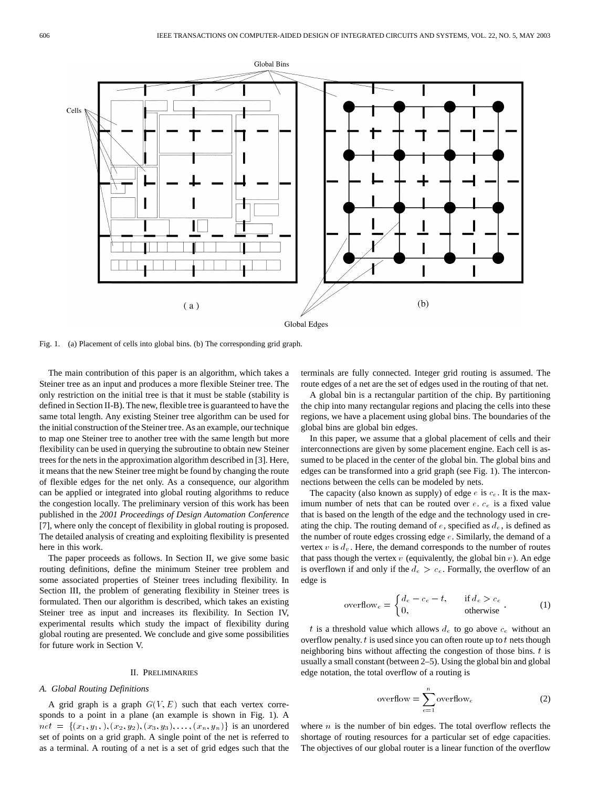



Fig. 1. (a) Placement of cells into global bins. (b) The corresponding grid graph.

The main contribution of this paper is an algorithm, which takes a Steiner tree as an input and produces a more flexible Steiner tree. The only restriction on the initial tree is that it must be stable (stability is defined in Section II-B). The new, flexible tree is guaranteed to have the same total length. Any existing Steiner tree algorithm can be used for the initial construction of the Steiner tree. As an example, our technique to map one Steiner tree to another tree with the same length but more flexibility can be used in querying the subroutine to obtain new Steiner trees for the nets in the approximation algorithm described in [3]. Here, it means that the new Steiner tree might be found by changing the route of flexible edges for the net only. As a consequence, our algorithm can be applied or integrated into global routing algorithms to reduce the congestion locally. The preliminary version of this work has been published in the *2001 Proceedings of Design Automation Conference* [7], where only the concept of flexibility in global routing is proposed. The detailed analysis of creating and exploiting flexibility is presented here in this work.

The paper proceeds as follows. In Section II, we give some basic routing definitions, define the minimum Steiner tree problem and some associated properties of Steiner trees including flexibility. In Section III, the problem of generating flexibility in Steiner trees is formulated. Then our algorithm is described, which takes an existing Steiner tree as input and increases its flexibility. In Section IV, experimental results which study the impact of flexibility during global routing are presented. We conclude and give some possibilities for future work in Section V.

# II. PRELIMINARIES

## *A. Global Routing Definitions*

A grid graph is a graph  $G(V, E)$  such that each vertex corresponds to a point in a plane (an example is shown in Fig. 1). A  $net = \{(x_1, y_1,), (x_2, y_2), (x_3, y_3), \ldots, (x_n, y_n)\}\$ is an unordered set of points on a grid graph. A single point of the net is referred to as a terminal. A routing of a net is a set of grid edges such that the terminals are fully connected. Integer grid routing is assumed. The route edges of a net are the set of edges used in the routing of that net.

A global bin is a rectangular partition of the chip. By partitioning the chip into many rectangular regions and placing the cells into these regions, we have a placement using global bins. The boundaries of the global bins are global bin edges.

In this paper, we assume that a global placement of cells and their interconnections are given by some placement engine. Each cell is assumed to be placed in the center of the global bin. The global bins and edges can be transformed into a grid graph (see Fig. 1). The interconnections between the cells can be modeled by nets.

The capacity (also known as supply) of edge  $e$  is  $c_e$ . It is the maximum number of nets that can be routed over  $e$ .  $c_e$  is a fixed value that is based on the length of the edge and the technology used in creating the chip. The routing demand of  $e$ , specified as  $d_e$ , is defined as the number of route edges crossing edge  $e$ . Similarly, the demand of a vertex  $v$  is  $d_v$ . Here, the demand corresponds to the number of routes that pass though the vertex  $v$  (equivalently, the global bin  $v$ ). An edge is overflown if and only if the  $d_e > c_e$ . Formally, the overflow of an edge is

$$
\text{overlap} = \begin{cases} d_e - c_e - t, & \text{if } d_e > c_e \\ 0, & \text{otherwise} \end{cases} \tag{1}
$$

t is a threshold value which allows  $d_e$  to go above  $c_e$  without an overflow penalty.  $t$  is used since you can often route up to  $t$  nets though neighboring bins without affecting the congestion of those bins.  $t$  is usually a small constant (between 2–5). Using the global bin and global edge notation, the total overflow of a routing is

$$
\text{overlap} = \sum_{e=1}^{n} \text{overlap}_{e} \tag{2}
$$

where  $n$  is the number of bin edges. The total overflow reflects the shortage of routing resources for a particular set of edge capacities. The objectives of our global router is a linear function of the overflow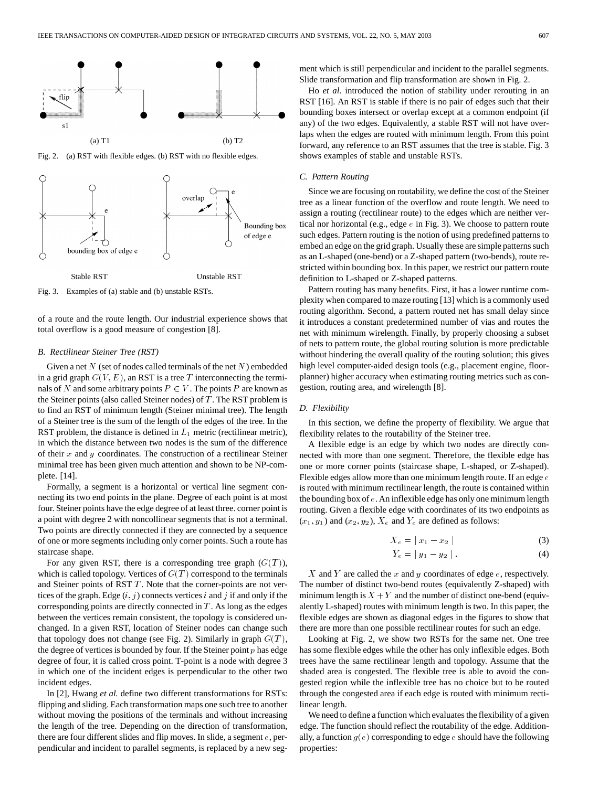

Fig. 2. (a) RST with flexible edges. (b) RST with no flexible edges.



Fig. 3. Examples of (a) stable and (b) unstable RSTs.

of a route and the route length. Our industrial experience shows that total overflow is a good measure of congestion [8].

#### *B. Rectilinear Steiner Tree (RST)*

Given a net  $N$  (set of nodes called terminals of the net  $N$ ) embedded in a grid graph  $G(V, E)$ , an RST is a tree T interconnecting the terminals of N and some arbitrary points  $P \in V$ . The points P are known as the Steiner points (also called Steiner nodes) of  $T$ . The RST problem is to find an RST of minimum length (Steiner minimal tree). The length of a Steiner tree is the sum of the length of the edges of the tree. In the RST problem, the distance is defined in  $L_1$  metric (rectilinear metric), in which the distance between two nodes is the sum of the difference of their  $x$  and  $y$  coordinates. The construction of a rectilinear Steiner minimal tree has been given much attention and shown to be NP-complete. [14].

Formally, a segment is a horizontal or vertical line segment connecting its two end points in the plane. Degree of each point is at most four. Steiner points have the edge degree of at least three. corner point is a point with degree 2 with noncollinear segments that is not a terminal. Two points are directly connected if they are connected by a sequence of one or more segments including only corner points. Such a route has staircase shape.

For any given RST, there is a corresponding tree graph  $(G(T))$ , which is called topology. Vertices of  $G(T)$  correspond to the terminals and Steiner points of RST  $T$ . Note that the corner-points are not vertices of the graph. Edge  $(i, j)$  connects vertices i and j if and only if the corresponding points are directly connected in  $T$ . As long as the edges between the vertices remain consistent, the topology is considered unchanged. In a given RST, location of Steiner nodes can change such that topology does not change (see Fig. 2). Similarly in graph  $G(T)$ , the degree of vertices is bounded by four. If the Steiner point  $p$  has edge degree of four, it is called cross point. T-point is a node with degree 3 in which one of the incident edges is perpendicular to the other two incident edges.

In [2], Hwang *et al.* define two different transformations for RSTs: flipping and sliding. Each transformation maps one such tree to another without moving the positions of the terminals and without increasing the length of the tree. Depending on the direction of transformation, there are four different slides and flip moves. In slide, a segment  $e$ , perpendicular and incident to parallel segments, is replaced by a new segment which is still perpendicular and incident to the parallel segments. Slide transformation and flip transformation are shown in Fig. 2.

Ho *et al.* introduced the notion of stability under rerouting in an RST [16]. An RST is stable if there is no pair of edges such that their bounding boxes intersect or overlap except at a common endpoint (if any) of the two edges. Equivalently, a stable RST will not have overlaps when the edges are routed with minimum length. From this point forward, any reference to an RST assumes that the tree is stable. Fig. 3 shows examples of stable and unstable RSTs.

## *C. Pattern Routing*

Since we are focusing on routability, we define the cost of the Steiner tree as a linear function of the overflow and route length. We need to assign a routing (rectilinear route) to the edges which are neither vertical nor horizontal (e.g., edge  $e$  in Fig. 3). We choose to pattern route such edges. Pattern routing is the notion of using predefined patterns to embed an edge on the grid graph. Usually these are simple patterns such as an L-shaped (one-bend) or a Z-shaped pattern (two-bends), route restricted within bounding box. In this paper, we restrict our pattern route definition to L-shaped or Z-shaped patterns.

Pattern routing has many benefits. First, it has a lower runtime complexity when compared to maze routing [13] which is a commonly used routing algorithm. Second, a pattern routed net has small delay since it introduces a constant predetermined number of vias and routes the net with minimum wirelength. Finally, by properly choosing a subset of nets to pattern route, the global routing solution is more predictable without hindering the overall quality of the routing solution; this gives high level computer-aided design tools (e.g., placement engine, floorplanner) higher accuracy when estimating routing metrics such as congestion, routing area, and wirelength [8].

# *D. Flexibility*

In this section, we define the property of flexibility. We argue that flexibility relates to the routability of the Steiner tree.

A flexible edge is an edge by which two nodes are directly connected with more than one segment. Therefore, the flexible edge has one or more corner points (staircase shape, L-shaped, or Z-shaped). Flexible edges allow more than one minimum length route. If an edge  $e$ is routed with minimum rectilinear length, the route is contained within the bounding box of  $e$ . An inflexible edge has only one minimum length routing. Given a flexible edge with coordinates of its two endpoints as  $(x_1, y_1)$  and  $(x_2, y_2)$ ,  $X_e$  and  $Y_e$  are defined as follows:

$$
X_e = |x_1 - x_2| \tag{3}
$$

$$
Y_e = |y_1 - y_2|.
$$
\n<sup>(4)</sup>

 $X$  and  $Y$  are called the  $x$  and  $y$  coordinates of edge  $e$ , respectively. The number of distinct two-bend routes (equivalently Z-shaped) with minimum length is  $X + Y$  and the number of distinct one-bend (equivalently L-shaped) routes with minimum length is two. In this paper, the flexible edges are shown as diagonal edges in the figures to show that there are more than one possible rectilinear routes for such an edge.

Looking at Fig. 2, we show two RSTs for the same net. One tree has some flexible edges while the other has only inflexible edges. Both trees have the same rectilinear length and topology. Assume that the shaded area is congested. The flexible tree is able to avoid the congested region while the inflexible tree has no choice but to be routed through the congested area if each edge is routed with minimum rectilinear length.

We need to define a function which evaluates the flexibility of a given edge. The function should reflect the routability of the edge. Additionally, a function  $g(e)$  corresponding to edge e should have the following properties: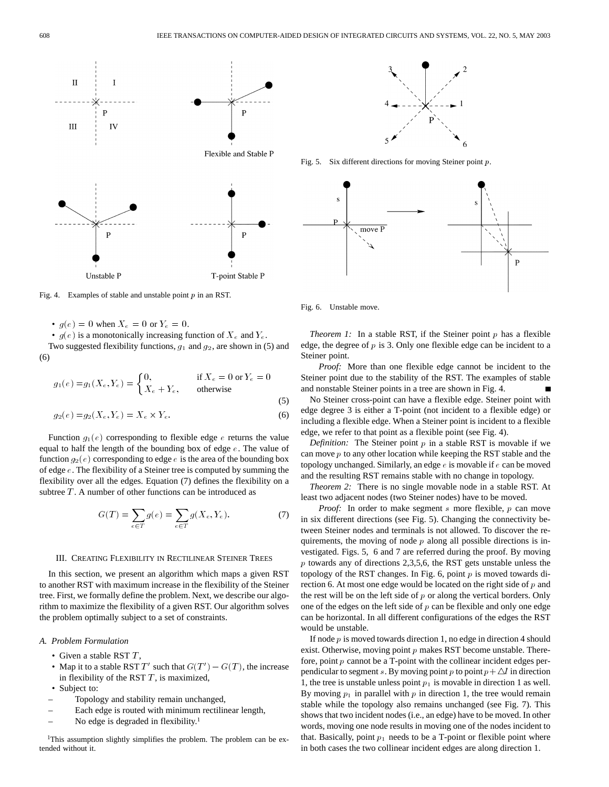

Fig. 4. Examples of stable and unstable point  $p$  in an RST.

•  $g(e) = 0$  when  $X_e = 0$  or  $Y_e = 0$ .

•  $g(e)$  is a monotonically increasing function of  $X_e$  and  $Y_e$ .

Two suggested flexibility functions,  $g_1$  and  $g_2$ , are shown in (5) and (6)

$$
g_1(e) = g_1(X_e, Y_e) = \begin{cases} 0, & \text{if } X_e = 0 \text{ or } Y_e = 0\\ X_e + Y_e, & \text{otherwise} \end{cases}
$$
(5)

$$
g_2(e) = g_2(X_e, Y_e) = X_e \times Y_e.
$$
 (6)

Function  $g_1(e)$  corresponding to flexible edge e returns the value equal to half the length of the bounding box of edge  $e$ . The value of function  $g_2(e)$  corresponding to edge e is the area of the bounding box of edge  $e$ . The flexibility of a Steiner tree is computed by summing the flexibility over all the edges. Equation (7) defines the flexibility on a subtree  $T$ . A number of other functions can be introduced as

$$
G(T) = \sum_{e \in T} g(e) = \sum_{e \in T} g(X_e, Y_e).
$$
 (7)

### III. CREATING FLEXIBILITY IN RECTILINEAR STEINER TREES

In this section, we present an algorithm which maps a given RST to another RST with maximum increase in the flexibility of the Steiner tree. First, we formally define the problem. Next, we describe our algorithm to maximize the flexibility of a given RST. Our algorithm solves the problem optimally subject to a set of constraints.

#### *A. Problem Formulation*

- Given a stable RST  $T$ ,
- Map it to a stable RST  $T'$  such that  $G(T') G(T)$ , the increase in flexibility of the RST  $T$ , is maximized,
- Subject to:
- Topology and stability remain unchanged,
- Each edge is routed with minimum rectilinear length,
- No edge is degraded in flexibility.<sup>1</sup>

<sup>1</sup>This assumption slightly simplifies the problem. The problem can be extended without it.



Fig. 5. Six different directions for moving Steiner point p.





*Theorem 1:* In a stable RST, if the Steiner point  $p$  has a flexible edge, the degree of  $p$  is 3. Only one flexible edge can be incident to a Steiner point.

*Proof:* More than one flexible edge cannot be incident to the Steiner point due to the stability of the RST. The examples of stable and nonstable Steiner points in a tree are shown in Fig. 4.

No Steiner cross-point can have a flexible edge. Steiner point with edge degree 3 is either a T-point (not incident to a flexible edge) or including a flexible edge. When a Steiner point is incident to a flexible edge, we refer to that point as a flexible point (see Fig. 4).

*Definition:* The Steiner point  $p$  in a stable RST is movable if we can move  $p$  to any other location while keeping the RST stable and the topology unchanged. Similarly, an edge  $e$  is movable if  $e$  can be moved and the resulting RST remains stable with no change in topology.

*Theorem 2:* There is no single movable node in a stable RST. At least two adjacent nodes (two Steiner nodes) have to be moved.

*Proof:* In order to make segment s more flexible, p can move in six different directions (see Fig. 5). Changing the connectivity between Steiner nodes and terminals is not allowed. To discover the requirements, the moving of node  $p$  along all possible directions is investigated. Figs. 5, 6 and 7 are referred during the proof. By moving p towards any of directions 2,3,5,6, the RST gets unstable unless the topology of the RST changes. In Fig. 6, point  $p$  is moved towards direction 6. At most one edge would be located on the right side of  $p$  and the rest will be on the left side of  $p$  or along the vertical borders. Only one of the edges on the left side of  $p$  can be flexible and only one edge can be horizontal. In all different configurations of the edges the RST would be unstable.

If node  $p$  is moved towards direction 1, no edge in direction 4 should exist. Otherwise, moving point  $p$  makes RST become unstable. Therefore, point  $p$  cannot be a T-point with the collinear incident edges perpendicular to segment s. By moving point p to point  $p + \Delta l$  in direction 1, the tree is unstable unless point  $p_1$  is movable in direction 1 as well. By moving  $p_1$  in parallel with  $p$  in direction 1, the tree would remain stable while the topology also remains unchanged (see Fig. 7). This shows that two incident nodes (i.e., an edge) have to be moved. In other words, moving one node results in moving one of the nodes incident to that. Basically, point  $p_1$  needs to be a T-point or flexible point where in both cases the two collinear incident edges are along direction 1.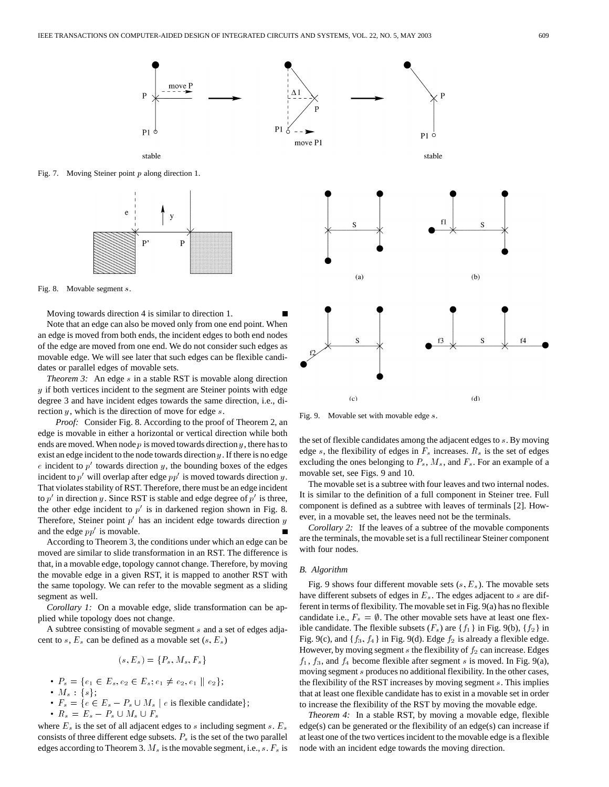move P

 $\overline{P}$ 

 $f4$ 

 $(d)$ 



Fig. 8. Movable segment s.

Moving towards direction 4 is similar to direction 1.

P

Fig. 7. Moving Steiner point p along direction 1.

e

 $P<sub>1</sub>$ 

stable

Note that an edge can also be moved only from one end point. When an edge is moved from both ends, the incident edges to both end nodes of the edge are moved from one end. We do not consider such edges as movable edge. We will see later that such edges can be flexible candidates or parallel edges of movable sets.

*Theorem 3:* An edge s in a stable RST is movable along direction y if both vertices incident to the segment are Steiner points with edge degree 3 and have incident edges towards the same direction, i.e., direction y, which is the direction of move for edge s.

*Proof:* Consider Fig. 8. According to the proof of Theorem 2, an edge is movable in either a horizontal or vertical direction while both ends are moved. When node  $p$  is moved towards direction  $y$ , there has to exist an edge incident to the node towards direction y. If there is no edge e incident to  $p'$  towards direction y, the bounding boxes of the edges incident to  $p'$  will overlap after edge  $pp'$  is moved towards direction y. That violates stability of RST. Therefore, there must be an edge incident to  $p'$  in direction y. Since RST is stable and edge degree of  $p'$  is three, the other edge incident to  $p'$  is in darkened region shown in Fig. 8. Therefore, Steiner point  $p'$  has an incident edge towards direction y and the edge  $pp'$  is movable.

According to Theorem 3, the conditions under which an edge can be moved are similar to slide transformation in an RST. The difference is that, in a movable edge, topology cannot change. Therefore, by moving the movable edge in a given RST, it is mapped to another RST with the same topology. We can refer to the movable segment as a sliding segment as well.

*Corollary 1:* On a movable edge, slide transformation can be applied while topology does not change.

A subtree consisting of movable segment s and a set of edges adjacent to s,  $E_s$  can be defined as a movable set  $(s, E_s)$ 

$$
(s, E_s) = \{P_s, M_s, F_s\}
$$

• 
$$
P_s = \{e_1 \in E_s, e_2 \in E_s; e_1 \neq e_2, e_1 \parallel e_2\};
$$

$$
\bullet\ \ M_s\ :\ \{s\};
$$

•  $F_s = \{e \in E_s - P_s \cup M_s \mid e \text{ is flexible candidate}\};$ 

• 
$$
R_s = E_s - P_s \cup M_s \cup F_s
$$

where  $E_s$  is the set of all adjacent edges to s including segment s.  $E_s$ consists of three different edge subsets.  $P_s$  is the set of the two parallel edges according to Theorem 3.  $M_s$  is the movable segment, i.e.,  $s$ .  $F_s$  is

Fig. 9. Movable set with movable edge s.

 $(c)$ 

the set of flexible candidates among the adjacent edges to s. By moving edge s, the flexibility of edges in  $F_s$  increases.  $R_s$  is the set of edges excluding the ones belonging to  $P_s$ ,  $M_s$ , and  $F_s$ . For an example of a movable set, see Figs. 9 and 10.

The movable set is a subtree with four leaves and two internal nodes. It is similar to the definition of a full component in Steiner tree. Full component is defined as a subtree with leaves of terminals [2]. However, in a movable set, the leaves need not be the terminals.

*Corollary 2:* If the leaves of a subtree of the movable components are the terminals, the movable set is a full rectilinear Steiner component with four nodes.

### *B. Algorithm*

Fig. 9 shows four different movable sets  $(s, E_s)$ . The movable sets have different subsets of edges in  $E_s$ . The edges adjacent to s are different in terms of flexibility. The movable set in Fig. 9(a) has no flexible candidate i.e.,  $F_s = \emptyset$ . The other movable sets have at least one flexible candidate. The flexible subsets  $(F_s)$  are  $\{f_1\}$  in Fig. 9(b),  $\{f_2\}$  in Fig. 9(c), and  $\{f_3, f_4\}$  in Fig. 9(d). Edge  $f_2$  is already a flexible edge. However, by moving segment  $s$  the flexibility of  $f_2$  can increase. Edges  $f_1$ ,  $f_3$ , and  $f_4$  become flexible after segment s is moved. In Fig. 9(a), moving segment s produces no additional flexibility. In the other cases, the flexibility of the RST increases by moving segment s. This implies that at least one flexible candidate has to exist in a movable set in order to increase the flexibility of the RST by moving the movable edge.

*Theorem 4:* In a stable RST, by moving a movable edge, flexible edge(s) can be generated or the flexibility of an edge(s) can increase if at least one of the two vertices incident to the movable edge is a flexible node with an incident edge towards the moving direction.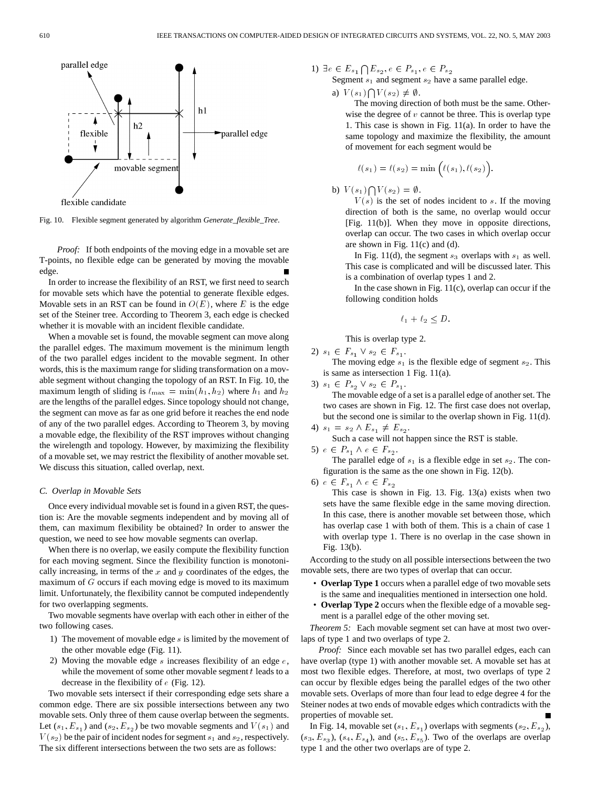

Fig. 10. Flexible segment generated by algorithm *Generate\_flexible\_Tree*.

*Proof:* If both endpoints of the moving edge in a movable set are T-points, no flexible edge can be generated by moving the movable edge.

In order to increase the flexibility of an RST, we first need to search for movable sets which have the potential to generate flexible edges. Movable sets in an RST can be found in  $O(E)$ , where E is the edge set of the Steiner tree. According to Theorem 3, each edge is checked whether it is movable with an incident flexible candidate.

When a movable set is found, the movable segment can move along the parallel edges. The maximum movement is the minimum length of the two parallel edges incident to the movable segment. In other words, this is the maximum range for sliding transformation on a movable segment without changing the topology of an RST. In Fig. 10, the maximum length of sliding is  $\ell_{\text{max}} = \min(h_1, h_2)$  where  $h_1$  and  $h_2$ are the lengths of the parallel edges. Since topology should not change, the segment can move as far as one grid before it reaches the end node of any of the two parallel edges. According to Theorem 3, by moving a movable edge, the flexibility of the RST improves without changing the wirelength and topology. However, by maximizing the flexibility of a movable set, we may restrict the flexibility of another movable set. We discuss this situation, called overlap, next.

#### *C. Overlap in Movable Sets*

Once every individual movable set is found in a given RST, the question is: Are the movable segments independent and by moving all of them, can maximum flexibility be obtained? In order to answer the question, we need to see how movable segments can overlap.

When there is no overlap, we easily compute the flexibility function for each moving segment. Since the flexibility function is monotonically increasing, in terms of the  $x$  and  $y$  coordinates of the edges, the maximum of G occurs if each moving edge is moved to its maximum limit. Unfortunately, the flexibility cannot be computed independently for two overlapping segments.

Two movable segments have overlap with each other in either of the two following cases.

- 1) The movement of movable edge  $s$  is limited by the movement of the other movable edge (Fig. 11).
- 2) Moving the movable edge  $s$  increases flexibility of an edge  $e$ , while the movement of some other movable segment  $t$  leads to a decrease in the flexibility of  $e$  (Fig. 12).

Two movable sets intersect if their corresponding edge sets share a common edge. There are six possible intersections between any two movable sets. Only three of them cause overlap between the segments. Let  $(s_1, E_{s_1})$  and  $(s_2, E_{s_2})$  be two movable segments and  $V(s_1)$  and  $V(s_2)$  be the pair of incident nodes for segment  $s_1$  and  $s_2$ , respectively. The six different intersections between the two sets are as follows:

1)  $\exists e \in E_{s_1} \bigcap E_{s_2}, e \in P_{s_1}, e \in P_{s_2}$ 

Segment  $s_1$  and segment  $s_2$  have a same parallel edge. a)  $V(s_1) \bigcap V(s_2) \neq \emptyset$ .

The moving direction of both must be the same. Otherwise the degree of  $v$  cannot be three. This is overlap type 1. This case is shown in Fig. 11(a). In order to have the same topology and maximize the flexibility, the amount of movement for each segment would be

$$
\ell(s_1) = \ell(s_2) = \min\Big(\ell(s_1), \ell(s_2)\Big).
$$

b)  $V(s_1) \bigcap V(s_2) = \emptyset$ .

 $V(s)$  is the set of nodes incident to s. If the moving direction of both is the same, no overlap would occur [Fig. 11(b)]. When they move in opposite directions, overlap can occur. The two cases in which overlap occur are shown in Fig. 11(c) and (d).

In Fig. 11(d), the segment  $s_3$  overlaps with  $s_1$  as well. This case is complicated and will be discussed later. This is a combination of overlap types 1 and 2.

In the case shown in Fig.  $11(c)$ , overlap can occur if the following condition holds

$$
\ell_1+\ell_2\leq D.
$$

This is overlap type 2.

2) 
$$
s_1 \in F_{s_1} \vee s_2 \in F_{s_1}
$$
.

The moving edge  $s_1$  is the flexible edge of segment  $s_2$ . This is same as intersection 1 Fig. 11(a).

3)  $s_1 \in P_{s_2} \vee s_2 \in P_{s_1}$ .

The movable edge of a set is a parallel edge of another set. The two cases are shown in Fig. 12. The first case does not overlap, but the second one is similar to the overlap shown in Fig. 11(d).

4)  $s_1 = s_2 \wedge E_{s_1} \neq E_{s_2}$ . Such a case will not happen since the RST is stable.

$$
5) e \in P_{s_1} \wedge e \in F_{s_2}.
$$

The parallel edge of  $s_1$  is a flexible edge in set  $s_2$ . The configuration is the same as the one shown in Fig. 12(b).

6)  $e \in F_{s_1} \wedge e \in F_{s_2}$ 

This case is shown in Fig. 13. Fig. 13(a) exists when two sets have the same flexible edge in the same moving direction. In this case, there is another movable set between those, which has overlap case 1 with both of them. This is a chain of case 1 with overlap type 1. There is no overlap in the case shown in Fig. 13(b).

According to the study on all possible intersections between the two movable sets, there are two types of overlap that can occur.

- **Overlap Type 1** occurs when a parallel edge of two movable sets is the same and inequalities mentioned in intersection one hold.
- **Overlap Type 2** occurs when the flexible edge of a movable segment is a parallel edge of the other moving set.

*Theorem 5:* Each movable segment set can have at most two overlaps of type 1 and two overlaps of type 2.

*Proof:* Since each movable set has two parallel edges, each can have overlap (type 1) with another movable set. A movable set has at most two flexible edges. Therefore, at most, two overlaps of type 2 can occur by flexible edges being the parallel edges of the two other movable sets. Overlaps of more than four lead to edge degree 4 for the Steiner nodes at two ends of movable edges which contradicts with the properties of movable set.

In Fig. 14, movable set  $(s_1, E_{s_1})$  overlaps with segments  $(s_2, E_{s_2})$ ,  $(s_3, E_{s_3})$ ,  $(s_4, E_{s_4})$ , and  $(s_5, E_{s_5})$ . Two of the overlaps are overlap type 1 and the other two overlaps are of type 2.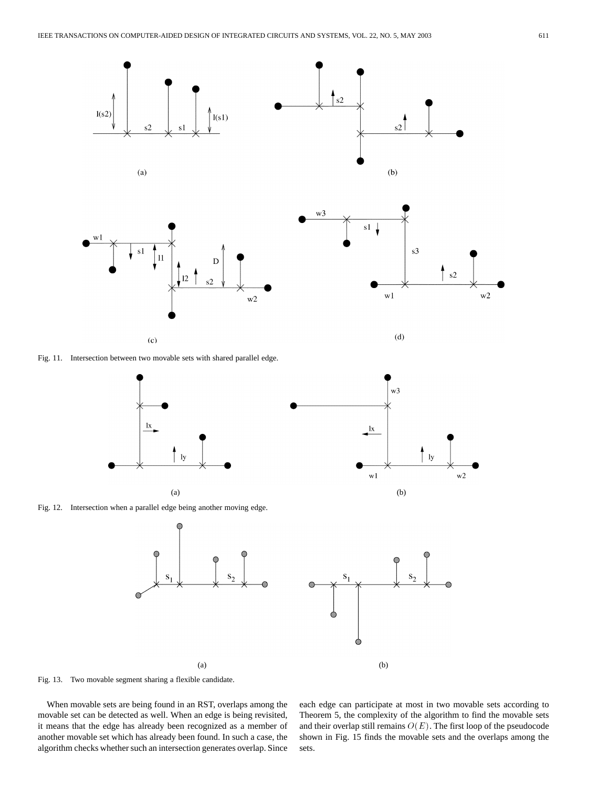

Fig. 11. Intersection between two movable sets with shared parallel edge.





Fig. 13. Two movable segment sharing a flexible candidate.

When movable sets are being found in an RST, overlaps among the movable set can be detected as well. When an edge is being revisited, it means that the edge has already been recognized as a member of another movable set which has already been found. In such a case, the algorithm checks whether such an intersection generates overlap. Since each edge can participate at most in two movable sets according to Theorem 5, the complexity of the algorithm to find the movable sets and their overlap still remains  $O(E)$ . The first loop of the pseudocode shown in Fig. 15 finds the movable sets and the overlaps among the sets.

ly

 $w2$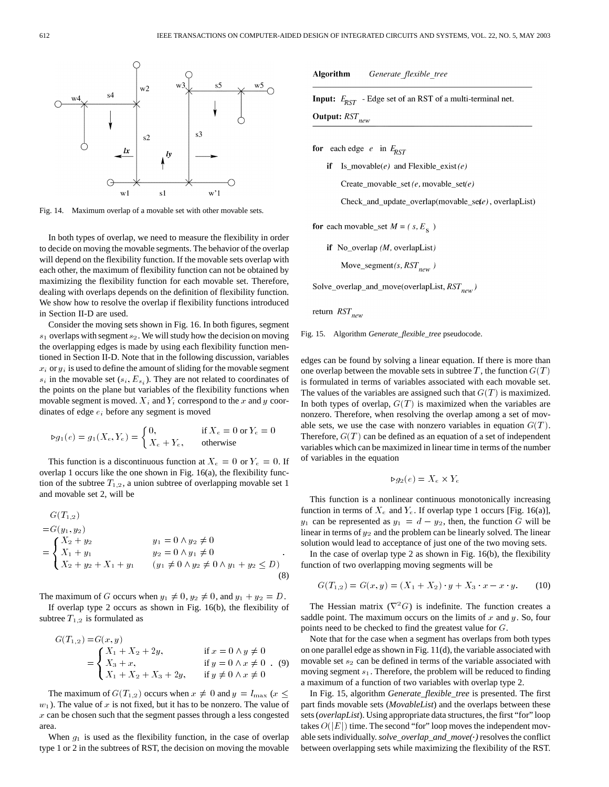

Fig. 14. Maximum overlap of a movable set with other movable sets.

In both types of overlap, we need to measure the flexibility in order to decide on moving the movable segments. The behavior of the overlap will depend on the flexibility function. If the movable sets overlap with each other, the maximum of flexibility function can not be obtained by maximizing the flexibility function for each movable set. Therefore, dealing with overlaps depends on the definition of flexibility function. We show how to resolve the overlap if flexibility functions introduced in Section II-D are used.

Consider the moving sets shown in Fig. 16. In both figures, segment  $s_1$  overlaps with segment  $s_2$ . We will study how the decision on moving the overlapping edges is made by using each flexibility function mentioned in Section II-D. Note that in the following discussion, variables  $x_i$  or  $y_i$  is used to define the amount of sliding for the movable segment  $s_i$  in the movable set  $(s_i, E_{s_i})$ . They are not related to coordinates of the points on the plane but variables of the flexibility functions when movable segment is moved.  $X_i$  and  $Y_i$  correspond to the x and y coordinates of edge  $e_i$  before any segment is moved

$$
\triangleright g_1(e) = g_1(X_e, Y_e) = \begin{cases} 0, & \text{if } X_e = 0 \text{ or } Y_e = 0 \\ X_e + Y_e, & \text{otherwise} \end{cases}
$$

This function is a discontinuous function at  $X_e = 0$  or  $Y_e = 0$ . If overlap 1 occurs like the one shown in Fig. 16(a), the flexibility function of the subtree  $T_{1,2}$ , a union subtree of overlapping movable set 1 and movable set 2, will be

$$
G(T_{1,2})
$$
  
=  $G(y_1, y_2)$   
=  $\begin{cases} X_2 + y_2 & y_1 = 0 \land y_2 \neq 0 \\ X_1 + y_1 & y_2 = 0 \land y_1 \neq 0 \\ X_2 + y_2 + X_1 + y_1 & (y_1 \neq 0 \land y_2 \neq 0 \land y_1 + y_2 \leq D) \end{cases}$  (8)

The maximum of G occurs when  $y_1 \neq 0$ ,  $y_2 \neq 0$ , and  $y_1 + y_2 = D$ . If overlap type 2 occurs as shown in Fig. 16(b), the flexibility of subtree  $T_{1,2}$  is formulated as

$$
G(T_{1,2}) = G(x, y)
$$
  
= 
$$
\begin{cases} X_1 + X_2 + 2y, & \text{if } x = 0 \land y \neq 0 \\ X_3 + x, & \text{if } y = 0 \land x \neq 0 \\ X_1 + X_2 + X_3 + 2y, & \text{if } y \neq 0 \land x \neq 0 \end{cases}
$$
 (9)

The maximum of  $G(T_{1,2})$  occurs when  $x \neq 0$  and  $y = l_{\text{max}}$   $(x \leq$  $w_1$ ). The value of x is not fixed, but it has to be nonzero. The value of  $x$  can be chosen such that the segment passes through a less congested area.

When  $g_1$  is used as the flexibility function, in the case of overlap type 1 or 2 in the subtrees of RST, the decision on moving the movable Algorithm Generate\_flexible\_tree

- Edge set of an RST of a multi-terminal net. Input:  $E_{RST}$ 

Output: 
$$
RST_{new}
$$

for each edge e in  $E_{RST}$ 

if Is\_movable(e) and Flexible\_exist(e)

Create\_movable\_set  $(e, \text{ movable\_set}(e)$ 

Check\_and\_update\_overlap(movable\_sete), overlapList)

for each movable\_set  $M = (s, E_s)$ 

if No\_overlap  $(M,$  overlapList)

Move\_segment(s,  $RST_{new}$ )

Solve\_overlap\_and\_move(overlapList,  $RST_{new}$ )

return  $RST_{new}$ 

Fig. 15. Algorithm *Generate\_flexible\_tree* pseudocode.

edges can be found by solving a linear equation. If there is more than one overlap between the movable sets in subtree T, the function  $G(T)$ is formulated in terms of variables associated with each movable set. The values of the variables are assigned such that  $G(T)$  is maximized. In both types of overlap,  $G(T)$  is maximized when the variables are nonzero. Therefore, when resolving the overlap among a set of movable sets, we use the case with nonzero variables in equation  $G(T)$ . Therefore,  $G(T)$  can be defined as an equation of a set of independent variables which can be maximized in linear time in terms of the number of variables in the equation

$$
\triangleright g_2(e) = X_e \times Y_e
$$

This function is a nonlinear continuous monotonically increasing function in terms of  $X_e$  and  $Y_e$ . If overlap type 1 occurs [Fig. 16(a)],  $y_1$  can be represented as  $y_1 = d - y_2$ , then, the function G will be linear in terms of  $y_2$  and the problem can be linearly solved. The linear solution would lead to acceptance of just one of the two moving sets.

In the case of overlap type 2 as shown in Fig.  $16(b)$ , the flexibility function of two overlapping moving segments will be

$$
G(T_{1,2}) = G(x,y) = (X_1 + X_2) \cdot y + X_3 \cdot x - x \cdot y. \tag{10}
$$

The Hessian matrix  $(\nabla^2 G)$  is indefinite. The function creates a saddle point. The maximum occurs on the limits of  $x$  and  $y$ . So, four points need to be checked to find the greatest value for G.

Note that for the case when a segment has overlaps from both types on one parallel edge as shown in Fig. 11(d), the variable associated with movable set  $s_2$  can be defined in terms of the variable associated with moving segment  $s_1$ . Therefore, the problem will be reduced to finding a maximum of a function of two variables with overlap type 2.

In Fig. 15, algorithm *Generate\_flexible\_tree* is presented. The first part finds movable sets (*MovableList*) and the overlaps between these sets (*overlapList*). Using appropriate data structures, the first "for" loop takes  $O(|E|)$  time. The second "for" loop moves the independent movable sets individually.*solve\_overlap\_and\_move()* resolves the conflict between overlapping sets while maximizing the flexibility of the RST.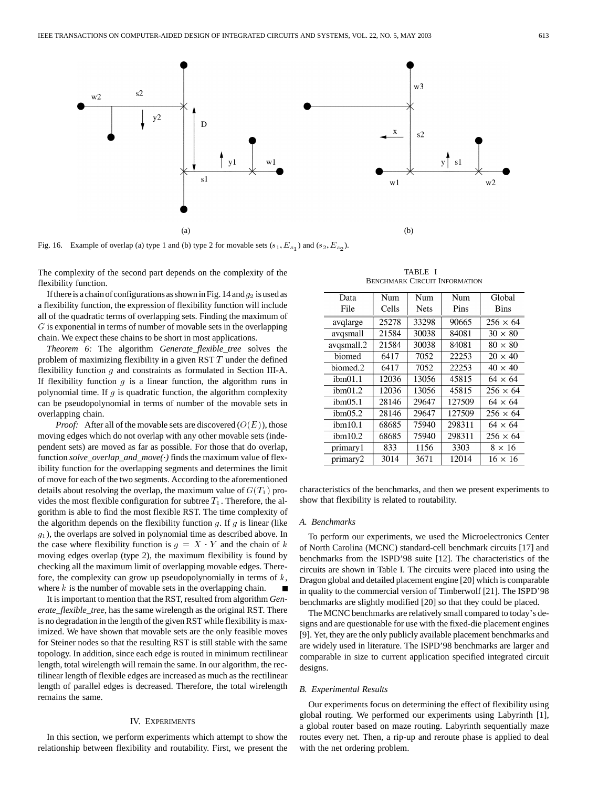

Fig. 16. Example of overlap (a) type 1 and (b) type 2 for movable sets  $(s_1, E_{s_1})$  and  $(s_2, E_{s_2})$ .

The complexity of the second part depends on the complexity of the flexibility function.

If there is a chain of configurations as shown in Fig. 14 and  $g_2$  is used as a flexibility function, the expression of flexibility function will include all of the quadratic terms of overlapping sets. Finding the maximum of  $G$  is exponential in terms of number of movable sets in the overlapping chain. We expect these chains to be short in most applications.

*Theorem 6:* The algorithm *Generate\_flexible\_tree* solves the problem of maximizing flexibility in a given RST  $T$  under the defined flexibility function  $g$  and constraints as formulated in Section III-A. If flexibility function  $g$  is a linear function, the algorithm runs in polynomial time. If  $q$  is quadratic function, the algorithm complexity can be pseudopolynomial in terms of number of the movable sets in overlapping chain.

*Proof:* After all of the movable sets are discovered  $(O(E))$ , those moving edges which do not overlap with any other movable sets (indemoving eages which do not overlap with any other movable sets (inde-<br>pendent sets) are moved as far as possible. For those that do overlap,<br>function *solve\_overlap\_and\_move(*·) finds the maximum value of flexibility function for the overlapping segments and determines the limit of move for each of the two segments. According to the aforementioned details about resolving the overlap, the maximum value of  $G(T_1)$  provides the most flexible configuration for subtree  $T_1$ . Therefore, the algorithm is able to find the most flexible RST. The time complexity of the algorithm depends on the flexibility function  $g$ . If  $g$  is linear (like  $g_1$ ), the overlaps are solved in polynomial time as described above. In the case where flexibility function is  $g = X \cdot Y$  and the chain of k moving edges overlap (type 2), the maximum flexibility is found by checking all the maximum limit of overlapping movable edges. Therefore, the complexity can grow up pseudopolynomially in terms of  $k$ , where  $k$  is the number of movable sets in the overlapping chain.

It is important to mention that the RST, resulted from algorithm *Generate\_flexible\_tree*, has the same wirelength as the original RST. There is no degradation in the length of the given RST while flexibility is maximized. We have shown that movable sets are the only feasible moves for Steiner nodes so that the resulting RST is still stable with the same topology. In addition, since each edge is routed in minimum rectilinear length, total wirelength will remain the same. In our algorithm, the rectilinear length of flexible edges are increased as much as the rectilinear length of parallel edges is decreased. Therefore, the total wirelength remains the same.

#### IV. EXPERIMENTS

In this section, we perform experiments which attempt to show the relationship between flexibility and routability. First, we present the

TABLE I BENCHMARK CIRCUIT INFORMATION

| Data                | Num   | Num         | Num    | Global          |  |
|---------------------|-------|-------------|--------|-----------------|--|
|                     |       |             |        |                 |  |
| File                | Cells | <b>Nets</b> | Pins   | <b>Bins</b>     |  |
| avqlarge            | 25278 | 33298       | 90665  | $256 \times 64$ |  |
| avqsmall            | 21584 | 30038       | 84081  | $30 \times 80$  |  |
| avqsmall.2          | 21584 | 30038       | 84081  | $80 \times 80$  |  |
| biomed              | 6417  | 7052        | 22253  | $20 \times 40$  |  |
| biomed.2            | 6417  | 7052        | 22253  | $40 \times 40$  |  |
| ibm <sub>01.1</sub> | 12036 | 13056       | 45815  | 64 × 64         |  |
| ibm <sub>01.2</sub> | 12036 | 13056       | 45815  | $256 \times 64$ |  |
| ibm05.1             | 28146 | 29647       | 127509 | $64 \times 64$  |  |
| ibm <sub>05.2</sub> | 28146 | 29647       | 127509 | $256 \times 64$ |  |
| ibm10.1             | 68685 | 75940       | 298311 | 64 × 64         |  |
| ibm10.2             | 68685 | 75940       | 298311 | $256 \times 64$ |  |
| primary1            | 833   | 1156        | 3303   | $8 \times 16$   |  |
| primary2            | 3014  | 3671        | 12014  | $16 \times 16$  |  |

characteristics of the benchmarks, and then we present experiments to show that flexibility is related to routability.

#### *A. Benchmarks*

To perform our experiments, we used the Microelectronics Center of North Carolina (MCNC) standard-cell benchmark circuits [17] and benchmarks from the ISPD'98 suite [12]. The characteristics of the circuits are shown in Table I. The circuits were placed into using the Dragon global and detailed placement engine [20] which is comparable in quality to the commercial version of Timberwolf [21]. The ISPD'98 benchmarks are slightly modified [20] so that they could be placed.

The MCNC benchmarks are relatively small compared to today's designs and are questionable for use with the fixed-die placement engines [9]. Yet, they are the only publicly available placement benchmarks and are widely used in literature. The ISPD'98 benchmarks are larger and comparable in size to current application specified integrated circuit designs.

#### *B. Experimental Results*

Our experiments focus on determining the effect of flexibility using global routing. We performed our experiments using Labyrinth [1], a global router based on maze routing. Labyrinth sequentially maze routes every net. Then, a rip-up and reroute phase is applied to deal with the net ordering problem.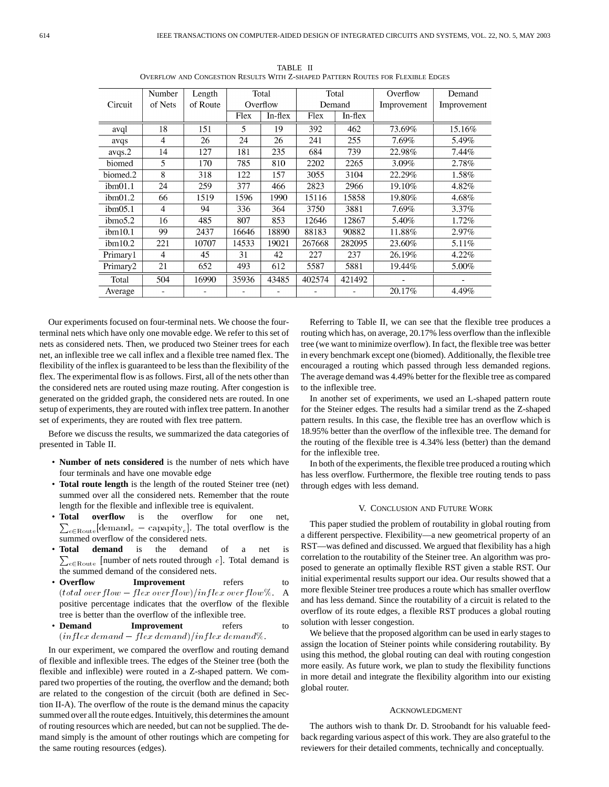|                     | Number         | Length   | Total<br>Total |           | Overflow | Demand      |             |          |
|---------------------|----------------|----------|----------------|-----------|----------|-------------|-------------|----------|
|                     |                |          | Overflow       |           |          |             |             |          |
| Circuit             | of Nets        | of Route |                | Demand    |          | Improvement | Improvement |          |
|                     |                |          | Flex           | $In-flex$ | Flex     | $In-flex$   |             |          |
| avql                | 18             | 151      | 5              | 19        | 392      | 462         | 73.69%      | 15.16%   |
| avqs                | 4              | 26       | 24             | 26        | 241      | 255         | 7.69%       | 5.49%    |
| avqs.2              | 14             | 127      | 181            | 235       | 684      | 739         | 22.98%      | 7.44%    |
| biomed              | 5              | 170      | 785            | 810       | 2202     | 2265        | 3.09%       | 2.78%    |
| biomed.2            | 8              | 318      | 122            | 157       | 3055     | 3104        | 22.29%      | 1.58%    |
| ibm <sub>01.1</sub> | 24             | 259      | 377            | 466       | 2823     | 2966        | 19.10%      | 4.82%    |
| ibm <sub>01.2</sub> | 66             | 1519     | 1596           | 1990      | 15116    | 15858       | 19.80%      | 4.68%    |
| ibm <sub>05.1</sub> | $\overline{4}$ | 94       | 336            | 364       | 3750     | 3881        | 7.69%       | $3.37\%$ |
| ibmo5.2             | 16             | 485      | 807            | 853       | 12646    | 12867       | 5.40%       | 1.72%    |
| ibm10.1             | 99             | 2437     | 16646          | 18890     | 88183    | 90882       | 11.88%      | 2.97%    |
| ibm10.2             | 221            | 10707    | 14533          | 19021     | 267668   | 282095      | 23.60%      | 5.11%    |
| Primary1            | $\overline{4}$ | 45       | 31             | 42        | 227      | 237         | 26.19%      | 4.22%    |
| Primary2            | 21             | 652      | 493            | 612       | 5587     | 5881        | 19.44%      | 5.00%    |
| Total               | 504            | 16990    | 35936          | 43485     | 402574   | 421492      |             |          |
| Average             |                |          |                |           |          |             | 20.17%      | 4.49%    |

TABLE II OVERFLOW AND CONGESTION RESULTS WITH Z-SHAPED PATTERN ROUTES FOR FLEXIBLE EDGES

Our experiments focused on four-terminal nets. We choose the fourterminal nets which have only one movable edge. We refer to this set of nets as considered nets. Then, we produced two Steiner trees for each net, an inflexible tree we call inflex and a flexible tree named flex. The flexibility of the inflex is guaranteed to be less than the flexibility of the flex. The experimental flow is as follows. First, all of the nets other than the considered nets are routed using maze routing. After congestion is generated on the gridded graph, the considered nets are routed. In one setup of experiments, they are routed with inflex tree pattern. In another set of experiments, they are routed with flex tree pattern.

Before we discuss the results, we summarized the data categories of presented in Table II.

- **Number of nets considered** is the number of nets which have four terminals and have one movable edge
- **Total route length** is the length of the routed Steiner tree (net) summed over all the considered nets. Remember that the route length for the flexible and inflexible tree is equivalent.
- **Total overflow** is the overflow for one net,  $\sum_{e \in \text{Route}}[\text{demand}_e - \text{capacity}_e]$ . The total overflow is the summed overflow of the considered nets.
- **Total demand** is the demand of a net is Four defining is the defining of  $\alpha$  first routed through  $e$ . Total demand is<br>the summed demand of the considered nets.<br>**Overflow Improvement** refers to<br>(*total overf low – flex overf low*)/*inflex overflow* %. A the summed demand of the considered nets.
- **Overflow Improvement** refers to positive percentage indicates that the overflow of the flexible<br>tree is better than the overflow of the inflexible tree.<br>**Demand Improvement** refers to<br> $(inflex\ demand - flex\ demand)/inflex\ demand.$ tree is better than the overflow of the inflexible tree.
- **Demand Improvement** refers to

In our experiment, we compared the overflow and routing demand of flexible and inflexible trees. The edges of the Steiner tree (both the flexible and inflexible) were routed in a Z-shaped pattern. We compared two properties of the routing, the overflow and the demand; both are related to the congestion of the circuit (both are defined in Section II-A). The overflow of the route is the demand minus the capacity summed over all the route edges. Intuitively, this determines the amount of routing resources which are needed, but can not be supplied. The demand simply is the amount of other routings which are competing for the same routing resources (edges).

Referring to Table II, we can see that the flexible tree produces a routing which has, on average, 20.17% less overflow than the inflexible tree (we want to minimize overflow). In fact, the flexible tree was better in every benchmark except one (biomed). Additionally, the flexible tree encouraged a routing which passed through less demanded regions. The average demand was 4.49% better for the flexible tree as compared to the inflexible tree.

In another set of experiments, we used an L-shaped pattern route for the Steiner edges. The results had a similar trend as the Z-shaped pattern results. In this case, the flexible tree has an overflow which is 18.95% better than the overflow of the inflexible tree. The demand for the routing of the flexible tree is 4.34% less (better) than the demand for the inflexible tree.

In both of the experiments, the flexible tree produced a routing which has less overflow. Furthermore, the flexible tree routing tends to pass through edges with less demand.

### V. CONCLUSION AND FUTURE WORK

This paper studied the problem of routability in global routing from a different perspective. Flexibility—a new geometrical property of an RST—was defined and discussed. We argued that flexibility has a high correlation to the routability of the Steiner tree. An algorithm was proposed to generate an optimally flexible RST given a stable RST. Our initial experimental results support our idea. Our results showed that a more flexible Steiner tree produces a route which has smaller overflow and has less demand. Since the routability of a circuit is related to the overflow of its route edges, a flexible RST produces a global routing solution with lesser congestion.

We believe that the proposed algorithm can be used in early stages to assign the location of Steiner points while considering routability. By using this method, the global routing can deal with routing congestion more easily. As future work, we plan to study the flexibility functions in more detail and integrate the flexibility algorithm into our existing global router.

#### ACKNOWLEDGMENT

The authors wish to thank Dr. D. Stroobandt for his valuable feedback regarding various aspect of this work. They are also grateful to the reviewers for their detailed comments, technically and conceptually.